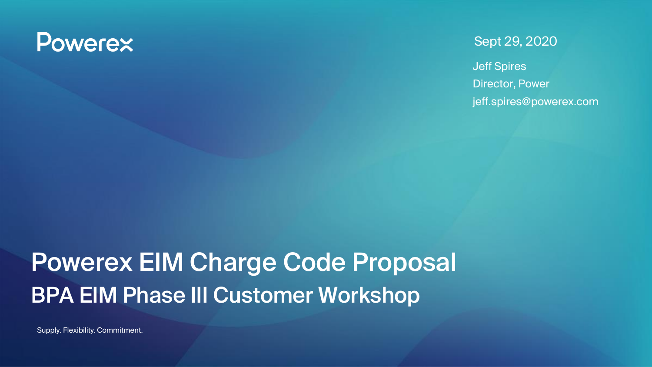## **Powerex**

#### Sept 29, 2020

Jeff Spires Director, Power jeff.spires@powerex.com

# Powerex EIM Charge Code Proposal BPA EIM Phase III Customer Workshop

Supply. Flexibility. Commitment.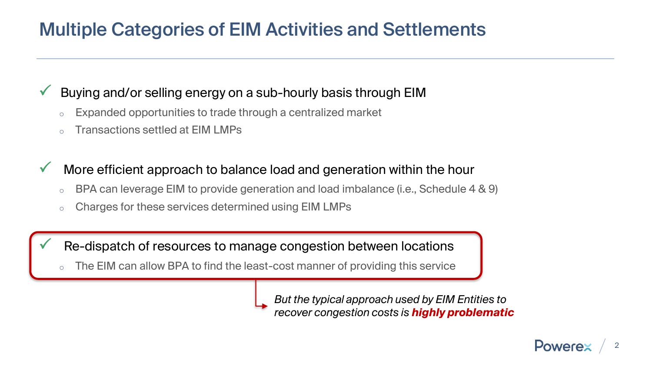### Multiple Categories of EIM Activities and Settlements

#### Buying and/or selling energy on a sub-hourly basis through EIM

- Expanded opportunities to trade through a centralized market
- Transactions settled at EIM LMPs

#### More efficient approach to balance load and generation within the hour

- $\circ$  BPA can leverage EIM to provide generation and load imbalance (i.e., Schedule 4 & 9)
- o Charges for these services determined using EIM LMPs

Re-dispatch of resources to manage congestion between locations

The EIM can allow BPA to find the least-cost manner of providing this service

*But the typical approach used by EIM Entities to recover congestion costs is highly problematic*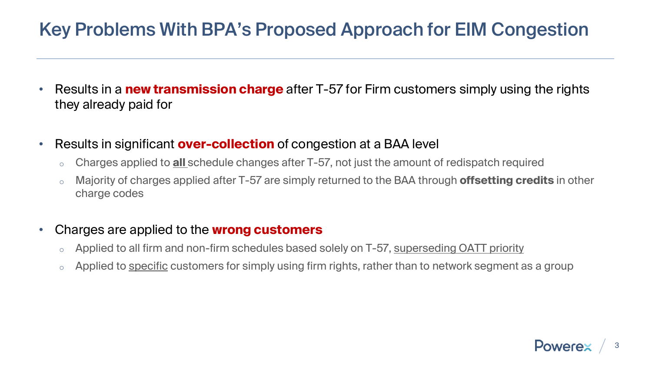### Key Problems With BPA's Proposed Approach for EIM Congestion

- Results in a **new transmission charge** after T-57 for Firm customers simply using the rights they already paid for
- Results in significant **over-collection** of congestion at a BAA level
	- o Charges applied to **all** schedule changes after T-57, not just the amount of redispatch required
	- o Majority of charges applied after T-57 are simply returned to the BAA through **offsetting credits** in other charge codes

#### • Charges are applied to the **wrong customers**

- $\circ$  Applied to all firm and non-firm schedules based solely on T-57, superseding OATT priority
- Applied to specific customers for simply using firm rights, rather than to network segment as a group

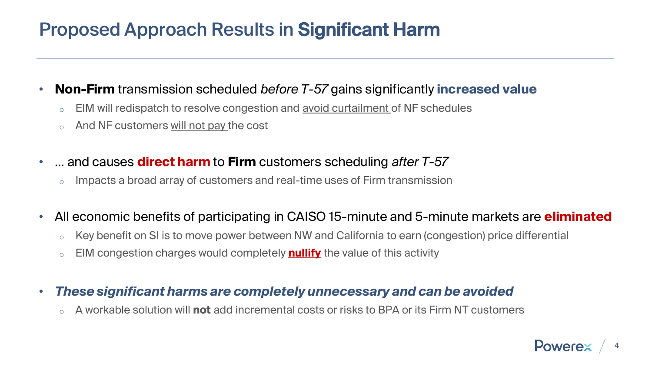### Proposed Approach Results in Significant Harm

#### • **Non-Firm** transmission scheduled *before T-57* gains significantly **increased value**

- EIM will redispatch to resolve congestion and avoid curtailment of NF schedules
- And NF customers will not pay the cost
- … and causes **direct harm** to **Firm** customers scheduling *after T-57* 
	- $\circ$  Impacts a broad array of customers and real-time uses of Firm transmission

#### • All economic benefits of participating in CAISO 15-minute and 5-minute markets are **eliminated**

- Key benefit on SI is to move power between NW and California to earn (congestion) price differential
- o EIM congestion charges would completely **nullify** the value of this activity

#### • *These significant harms are completely unnecessary and can be avoided*

o A workable solution will **not** add incremental costs or risks to BPA or its Firm NT customers

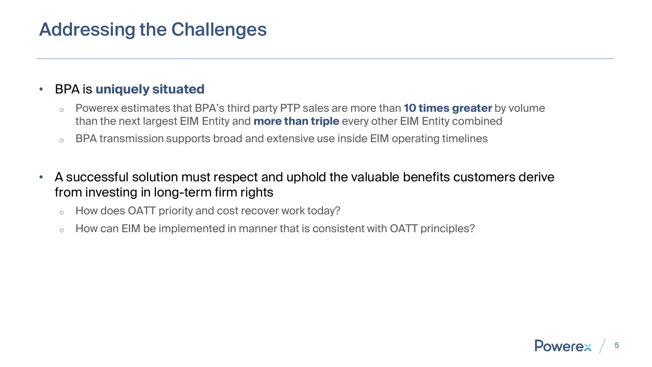#### Addressing the Challenges

#### • BPA is **uniquely situated**

- o Powerex estimates that BPA's third party PTP sales are more than **10 times greater** by volume than the next largest EIM Entity and **more than triple** every other EIM Entity combined
- $\circ$  BPA transmission supports broad and extensive use inside EIM operating timelines
- A successful solution must respect and uphold the valuable benefits customers derive from investing in long-term firm rights
	- o How does OATT priority and cost recover work today?
	- $\circ$  How can EIM be implemented in manner that is consistent with OATT principles?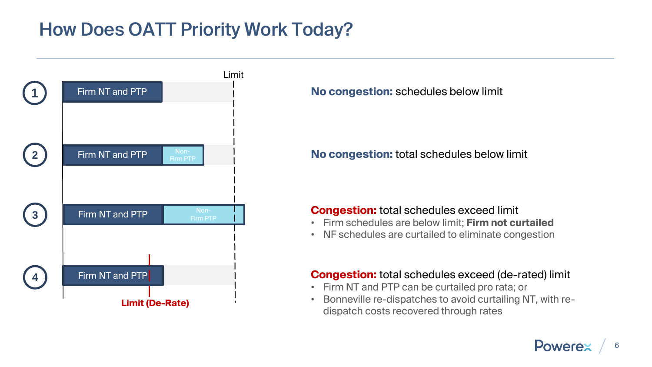### How Does OATT Priority Work Today?



**No congestion:** schedules below limit

**No congestion:** total schedules below limit

#### **Congestion:** total schedules exceed limit

- Firm schedules are below limit; **Firm not curtailed**
- NF schedules are curtailed to eliminate congestion

#### **Congestion:** total schedules exceed (de-rated) limit

- Firm NT and PTP can be curtailed pro rata; or
- Bonneville re-dispatches to avoid curtailing NT, with redispatch costs recovered through rates

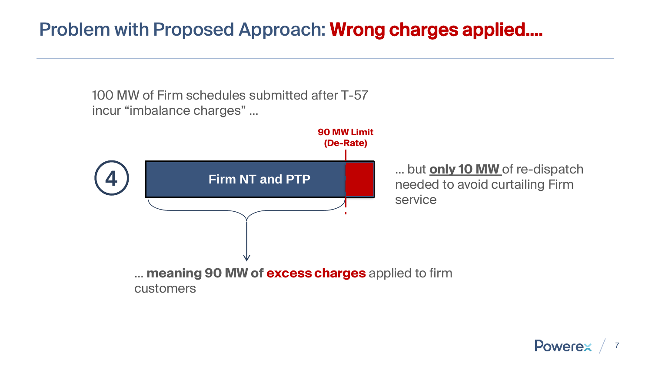### Problem with Proposed Approach: Wrong charges applied….

100 MW of Firm schedules submitted after T-57 incur "imbalance charges" …



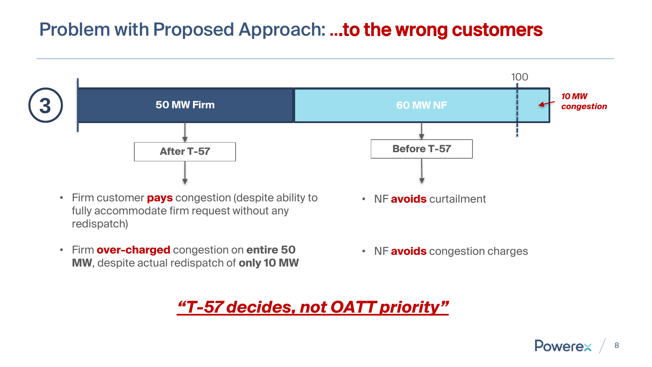### Problem with Proposed Approach: ...to the wrong customers



- fully accommodate firm request without any redispatch)
- Firm **over-charged** congestion on **entire 50 MW**, despite actual redispatch of **only 10 MW**

• NF **avoids** congestion charges

*"T-57 decides, not OATT priority"*

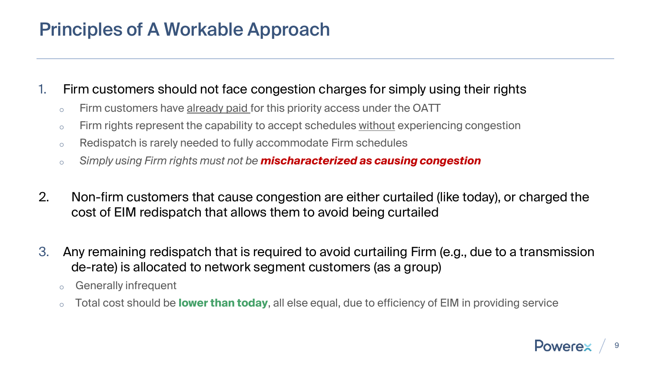### Principles of A Workable Approach

#### 1. Firm customers should not face congestion charges for simply using their rights

- $\circ$  Firm customers have already paid for this priority access under the OATT
- o Firm rights represent the capability to accept schedules without experiencing congestion
- $\circ$  Redispatch is rarely needed to fully accommodate Firm schedules
- o *Simply using Firm rights must not be mischaracterized as causing congestion*
- 2. Non-firm customers that cause congestion are either curtailed (like today), or charged the cost of EIM redispatch that allows them to avoid being curtailed
- 3. Any remaining redispatch that is required to avoid curtailing Firm (e.g., due to a transmission de-rate) is allocated to network segment customers (as a group)
	- o Generally infrequent
	- o Total cost should be **lower than today**, all else equal, due to efficiency of EIM in providing service

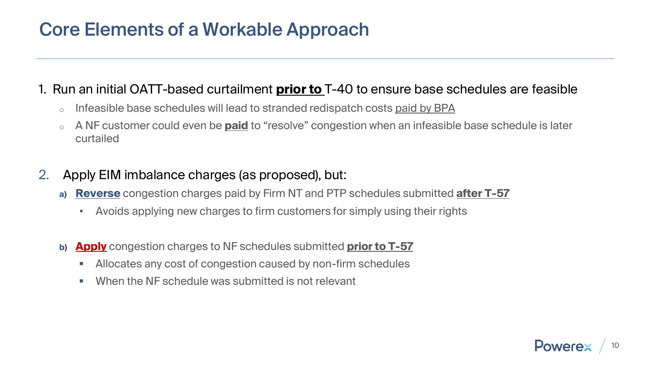### Core Elements of a Workable Approach

#### 1. Run an initial OATT-based curtailment **prior to** T-40 to ensure base schedules are feasible

- Infeasible base schedules will lead to stranded redispatch costs paid by BPA
- o A NF customer could even be **paid** to "resolve" congestion when an infeasible base schedule is later curtailed
- 2. Apply EIM imbalance charges (as proposed), but:
	- **a) Reverse** congestion charges paid by Firm NT and PTP schedules submitted **after T-57** 
		- Avoids applying new charges to firm customers for simply using their rights
	- **b) Apply** congestion charges to NF schedules submitted **prior to T-57** 
		- Allocates any cost of congestion caused by non-firm schedules
		- When the NF schedule was submitted is not relevant

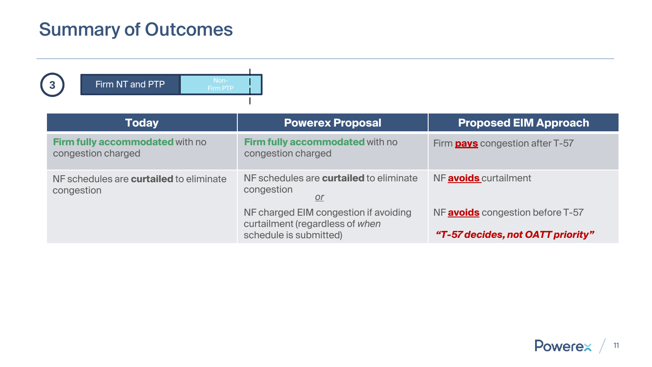### Summary of Outcomes



| <b>Today</b>                                                 | <b>Powerex Proposal</b>                                                                            | <b>Proposed EIM Approach</b>                                                 |
|--------------------------------------------------------------|----------------------------------------------------------------------------------------------------|------------------------------------------------------------------------------|
| Firm fully accommodated with no<br>congestion charged        | Firm fully accommodated with no<br>congestion charged                                              | Firm <b>pays</b> congestion after T-57                                       |
| NF schedules are <b>curtailed</b> to eliminate<br>congestion | NF schedules are <b>curtailed</b> to eliminate<br>congestion<br><u>or</u>                          | NF <b>avoids</b> curtailment                                                 |
|                                                              | NF charged EIM congestion if avoiding<br>curtailment (regardless of when<br>schedule is submitted) | NF <b>avoids</b> congestion before T-57<br>"T-57 decides, not OATT priority" |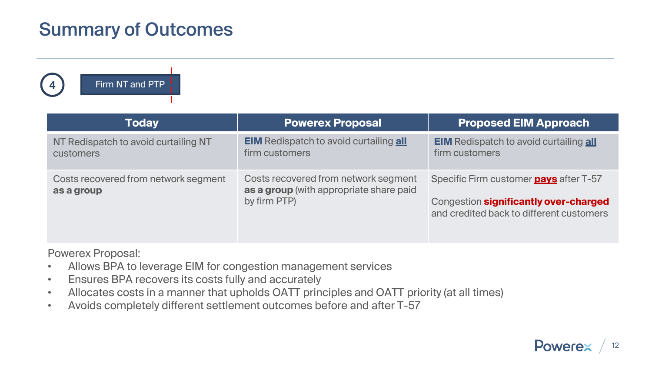### Summary of Outcomes

**4** Firm NT and PTP

| <b>Today</b>                                             | <b>Powerex Proposal</b>                                                                         | <b>Proposed EIM Approach</b>                                                                                                       |
|----------------------------------------------------------|-------------------------------------------------------------------------------------------------|------------------------------------------------------------------------------------------------------------------------------------|
| NT Redispatch to avoid curtailing NT<br><b>customers</b> | <b>EIM</b> Redispatch to avoid curtailing <b>all</b><br>firm customers                          | <b>EIM</b> Redispatch to avoid curtailing <b>all</b><br>firm customers                                                             |
| Costs recovered from network segment<br>as a group       | Costs recovered from network segment<br>as a group (with appropriate share paid<br>by firm PTP) | Specific Firm customer <b>pays</b> after T-57<br>Congestion significantly over-charged<br>and credited back to different customers |

Powerex Proposal:

- Allows BPA to leverage EIM for congestion management services
- Ensures BPA recovers its costs fully and accurately
- Allocates costs in a manner that upholds OATT principles and OATT priority (at all times)
- Avoids completely different settlement outcomes before and after T-57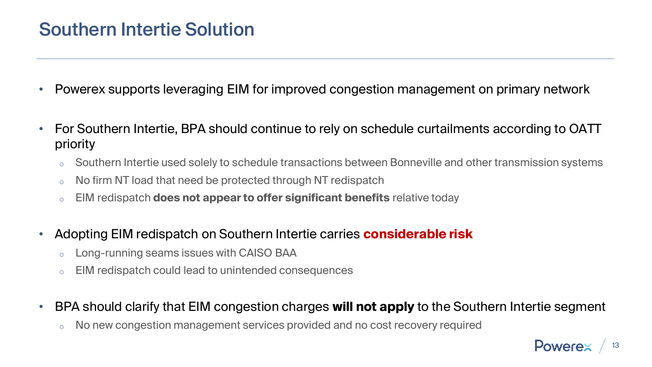#### Southern Intertie Solution

- Powerex supports leveraging EIM for improved congestion management on primary network
- For Southern Intertie, BPA should continue to rely on schedule curtailments according to OATT priority
	- Southern Intertie used solely to schedule transactions between Bonneville and other transmission systems
	- $\circ$  No firm NT load that need be protected through NT redispatch
	- o EIM redispatch **does not appear to offer significant benefits** relative today
- Adopting EIM redispatch on Southern Intertie carries **considerable risk**
	- Long-running seams issues with CAISO BAA
	- EIM redispatch could lead to unintended consequences
- BPA should clarify that EIM congestion charges **will not apply** to the Southern Intertie segment
	- No new congestion management services provided and no cost recovery required

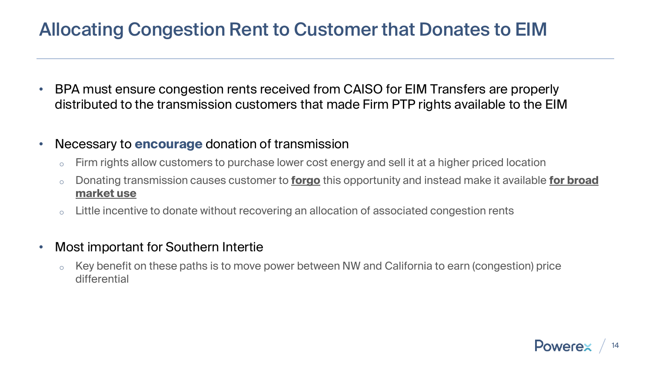### Allocating Congestion Rent to Customer that Donates to EIM

- BPA must ensure congestion rents received from CAISO for EIM Transfers are properly distributed to the transmission customers that made Firm PTP rights available to the EIM
- Necessary to **encourage** donation of transmission
	- Firm rights allow customers to purchase lower cost energy and sell it at a higher priced location
	- o Donating transmission causes customer to **forgo** this opportunity and instead make it available **for broad market use**
	- o Little incentive to donate without recovering an allocation of associated congestion rents
- Most important for Southern Intertie
	- Key benefit on these paths is to move power between NW and California to earn (congestion) price differential

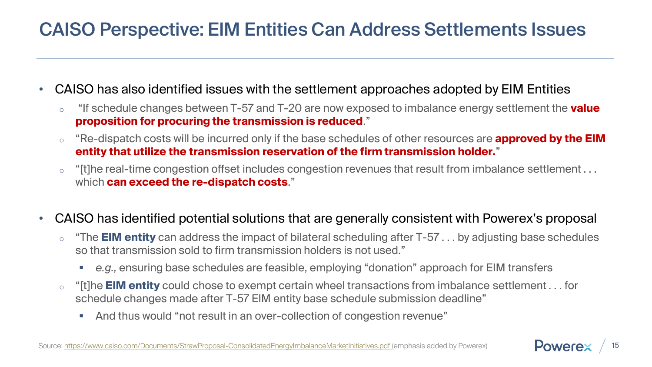### CAISO Perspective: EIM Entities Can Address Settlements Issues

- CAISO has also identified issues with the settlement approaches adopted by EIM Entities
	- o "If schedule changes between T-57 and T-20 are now exposed to imbalance energy settlement the **value proposition for procuring the transmission is reduced**."
	- "Re-dispatch costs will be incurred only if the base schedules of other resources are **approved by the EIM entity that utilize the transmission reservation of the firm transmission holder.**"
	- $\circ$  "[t]he real-time congestion offset includes congestion revenues that result from imbalance settlement  $\dots$ which **can exceed the re-dispatch costs**."
- CAISO has identified potential solutions that are generally consistent with Powerex's proposal
	- o "The **EIM entity** can address the impact of bilateral scheduling after T-57 . . . by adjusting base schedules so that transmission sold to firm transmission holders is not used."
		- *e.g.,* ensuring base schedules are feasible, employing "donation" approach for EIM transfers
	- o "[t]he **EIM entity** could chose to exempt certain wheel transactions from imbalance settlement . . . for schedule changes made after T-57 EIM entity base schedule submission deadline"
		- And thus would "not result in an over-collection of congestion revenue"

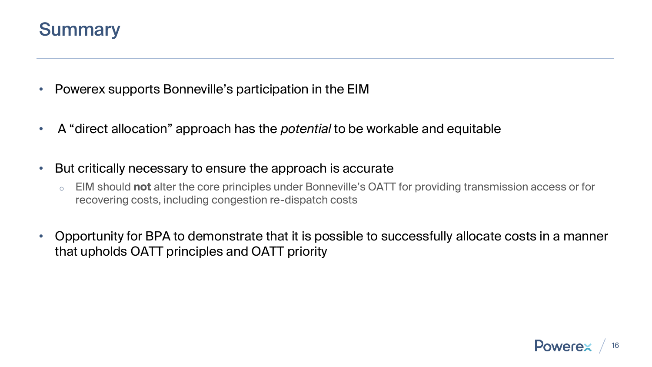#### **Summary**

- Powerex supports Bonneville's participation in the EIM
- A "direct allocation" approach has the *potential* to be workable and equitable
- But critically necessary to ensure the approach is accurate
	- o EIM should **not** alter the core principles under Bonneville's OATT for providing transmission access or for recovering costs, including congestion re-dispatch costs
- Opportunity for BPA to demonstrate that it is possible to successfully allocate costs in a manner that upholds OATT principles and OATT priority